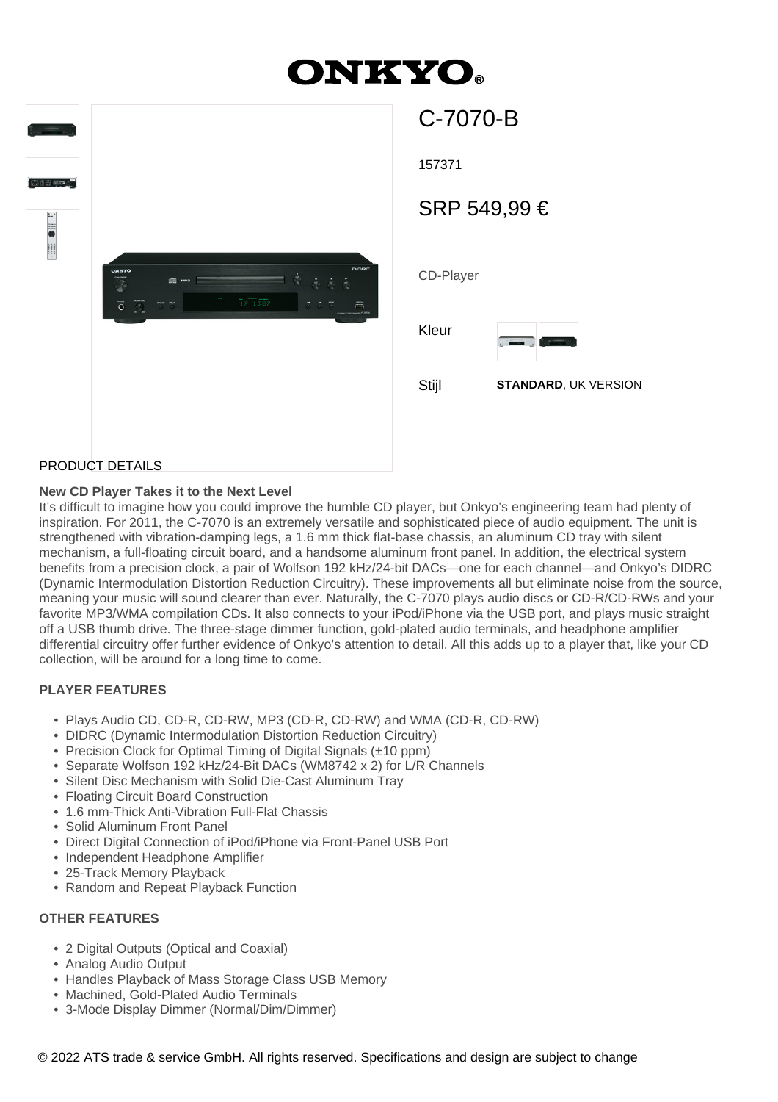# **ONKYO.**

| $\begin{picture}(20,10) \put(0,0){\line(1,0){10}} \put(10,0){\line(1,0){10}} \put(10,0){\line(1,0){10}} \put(10,0){\line(1,0){10}} \put(10,0){\line(1,0){10}} \put(10,0){\line(1,0){10}} \put(10,0){\line(1,0){10}} \put(10,0){\line(1,0){10}} \put(10,0){\line(1,0){10}} \put(10,0){\line(1,0){10}} \put(10,0){\line(1,0){10}} \put(10,0){\line(1$<br>100 em 2<br>$\overline{\phantom{a}}^{\circ}$ | DIDRC<br>ONKYO<br>$\dot{\vec{c}_k}$<br>$\dot{\gamma}$<br>國<br>Ā<br>MPD<br>Ø<br>ı.<br>$\overline{1}7\overline{1}3\overline{5}7$<br>$\overline{\circ}$<br>$\overline{\circ}$ $\overline{\circ}$<br>557<br>$\tilde{=}$<br><b>COMMETORC PLASS C-7070</b> |  |
|-----------------------------------------------------------------------------------------------------------------------------------------------------------------------------------------------------------------------------------------------------------------------------------------------------------------------------------------------------------------------------------------------------|------------------------------------------------------------------------------------------------------------------------------------------------------------------------------------------------------------------------------------------------------|--|
|                                                                                                                                                                                                                                                                                                                                                                                                     |                                                                                                                                                                                                                                                      |  |

| し‐/∪/∪‐15    |                             |  |  |
|--------------|-----------------------------|--|--|
| 157371       |                             |  |  |
| SRP 549,99 € |                             |  |  |
| CD-Player    |                             |  |  |
| Kleur        |                             |  |  |
| Stijl        | <b>STANDARD, UK VERSION</b> |  |  |

 $\sim$   $\sim$   $\sim$   $\sim$ 

#### PRODUCT DETAILS

#### **New CD Player Takes it to the Next Level**

It's difficult to imagine how you could improve the humble CD player, but Onkyo's engineering team had plenty of inspiration. For 2011, the C-7070 is an extremely versatile and sophisticated piece of audio equipment. The unit is strengthened with vibration-damping legs, a 1.6 mm thick flat-base chassis, an aluminum CD tray with silent mechanism, a full-floating circuit board, and a handsome aluminum front panel. In addition, the electrical system benefits from a precision clock, a pair of Wolfson 192 kHz/24-bit DACs—one for each channel—and Onkyo's DIDRC (Dynamic Intermodulation Distortion Reduction Circuitry). These improvements all but eliminate noise from the source, meaning your music will sound clearer than ever. Naturally, the C-7070 plays audio discs or CD-R/CD-RWs and your favorite MP3/WMA compilation CDs. It also connects to your iPod/iPhone via the USB port, and plays music straight off a USB thumb drive. The three-stage dimmer function, gold-plated audio terminals, and headphone amplifier differential circuitry offer further evidence of Onkyo's attention to detail. All this adds up to a player that, like your CD collection, will be around for a long time to come.

#### **PLAYER FEATURES**

- Plays Audio CD, CD-R, CD-RW, MP3 (CD-R, CD-RW) and WMA (CD-R, CD-RW)
- DIDRC (Dynamic Intermodulation Distortion Reduction Circuitry)
- Precision Clock for Optimal Timing of Digital Signals (±10 ppm)
- Separate Wolfson 192 kHz/24-Bit DACs (WM8742 x 2) for L/R Channels
- Silent Disc Mechanism with Solid Die-Cast Aluminum Tray
- Floating Circuit Board Construction
- 1.6 mm-Thick Anti-Vibration Full-Flat Chassis
- Solid Aluminum Front Panel
- Direct Digital Connection of iPod/iPhone via Front-Panel USB Port
- Independent Headphone Amplifier
- 25-Track Memory Playback
- Random and Repeat Playback Function

#### **OTHER FEATURES**

- 2 Digital Outputs (Optical and Coaxial)
- Analog Audio Output
- Handles Playback of Mass Storage Class USB Memory
- Machined, Gold-Plated Audio Terminals
- 3-Mode Display Dimmer (Normal/Dim/Dimmer)